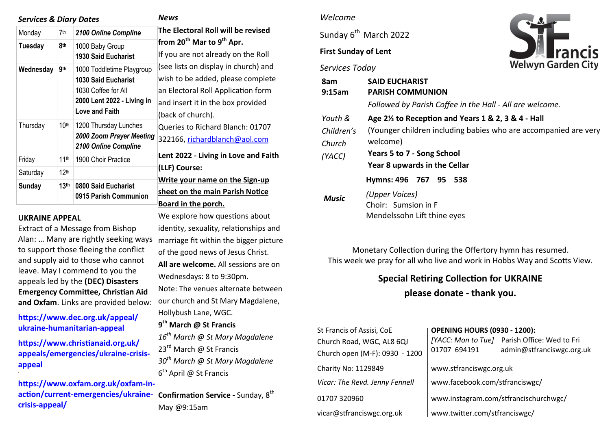| <b>Services &amp; Diary Dates</b> |                  |                                                                                                                                | <b>News</b>                                                                                                                                                                                                                                                                                                                                                                                        |
|-----------------------------------|------------------|--------------------------------------------------------------------------------------------------------------------------------|----------------------------------------------------------------------------------------------------------------------------------------------------------------------------------------------------------------------------------------------------------------------------------------------------------------------------------------------------------------------------------------------------|
| Monday                            | 7th              | 2100 Online Compline                                                                                                           | The Electoral Roll will be revised                                                                                                                                                                                                                                                                                                                                                                 |
| <b>Tuesday</b>                    | 8th              | 1000 Baby Group<br><b>1930 Said Eucharist</b>                                                                                  | from 20 <sup>th</sup> Mar to 9 <sup>th</sup> Apr.<br>If you are not already on the Roll<br>(see lists on display in church) and<br>wish to be added, please complete<br>an Electoral Roll Application form<br>and insert it in the box provided<br>(back of church).<br>Queries to Richard Blanch: 01707<br>322166, richardblanch@aol.com<br>Lent 2022 - Living in Love and Faith<br>(LLF) Course: |
| Wednesday                         | 9th              | 1000 Toddletime Playgroup<br><b>1030 Said Eucharist</b><br>1030 Coffee for All<br>2000 Lent 2022 - Living in<br>Love and Faith |                                                                                                                                                                                                                                                                                                                                                                                                    |
| Thursday                          | 10 <sup>th</sup> | 1200 Thursday Lunches<br>2000 Zoom Prayer Meeting<br>2100 Online Compline                                                      |                                                                                                                                                                                                                                                                                                                                                                                                    |
| Friday                            | 11 <sup>th</sup> | 1900 Choir Practice                                                                                                            |                                                                                                                                                                                                                                                                                                                                                                                                    |
| Saturday                          | 12 <sup>th</sup> |                                                                                                                                |                                                                                                                                                                                                                                                                                                                                                                                                    |
| <b>Sunday</b>                     | 13 <sup>th</sup> | 0800 Said Eucharist<br>0915 Parish Communion                                                                                   | Write your name on the Sign-up<br>sheet on the main Parish Notice<br>Board in the porch.                                                                                                                                                                                                                                                                                                           |

We explore how questions about identity, sexuality, relationships and

of the good news of Jesus Christ. **All are welcome.** All sessions are on

Note: The venues alternate between our church and St Mary Magdalene,

*16th March @ St Mary Magdalene* 

*30th March @ St Mary Magdalene* 

Wednesdays: 8 to 9:30pm.

Hollybush Lane, WGC. **9 th March @ St Francis** 

23<sup>rd</sup> March @ St Francis

6<sup>th</sup> April @ St Francis

#### **UKRAINE APPEAL**

**.**

Extract of a Message from Bishop Alan: … Many are rightly seeking ways marriage fit within the bigger picture to support those fleeing the conflict and supply aid to those who cannot leave. May I commend to you the appeals led by the **(DEC) Disasters Emergency Committee, Christian Aid and Oxfam**. Links are provided below:

**[https://www.dec.org.uk/appeal/](https://anglican.us1.list-manage.com/track/click?u=a47f5026eff04afcd10f4be32&id=eca4fb2ebd&e=9bd968f2dc) ukraine-[humanitarian](https://anglican.us1.list-manage.com/track/click?u=a47f5026eff04afcd10f4be32&id=eca4fb2ebd&e=9bd968f2dc)-appeal**

**[https://www.christianaid.org.uk/](https://anglican.us1.list-manage.com/track/click?u=a47f5026eff04afcd10f4be32&id=eeb2143e96&e=9bd968f2dc) [appeals/emergencies/ukraine](https://anglican.us1.list-manage.com/track/click?u=a47f5026eff04afcd10f4be32&id=eeb2143e96&e=9bd968f2dc)-crisis[appeal](https://anglican.us1.list-manage.com/track/click?u=a47f5026eff04afcd10f4be32&id=eeb2143e96&e=9bd968f2dc)**

**[https://www.oxfam.org.uk/oxfam](https://anglican.us1.list-manage.com/track/click?u=a47f5026eff04afcd10f4be32&id=95c6ec04f0&e=9bd968f2dc)-inaction/current-[emergencies/ukraine](https://anglican.us1.list-manage.com/track/click?u=a47f5026eff04afcd10f4be32&id=95c6ec04f0&e=9bd968f2dc)-Confirmation Service -** Sunday, 8th **crisis-[appeal/](https://anglican.us1.list-manage.com/track/click?u=a47f5026eff04afcd10f4be32&id=95c6ec04f0&e=9bd968f2dc)** May @9:15am

#### *Welcome*

Sunday 6<sup>th</sup> March 2022

# **First Sunday of Lent**

#### *Services Today*



| 8am<br>9:15am                  | <b>SAID EUCHARIST</b><br><b>PARISH COMMUNION</b>                                                                                          |  |  |  |  |  |
|--------------------------------|-------------------------------------------------------------------------------------------------------------------------------------------|--|--|--|--|--|
|                                | Followed by Parish Coffee in the Hall - All are welcome.                                                                                  |  |  |  |  |  |
| Youth &                        | Age 2 <sup>1/2</sup> to Reception and Years 1 & 2, 3 & 4 - Hall                                                                           |  |  |  |  |  |
| Children's<br>Church<br>(YACC) | (Younger children including babies who are accompanied are very<br>welcome)<br>Years 5 to 7 - Song School<br>Year 8 upwards in the Cellar |  |  |  |  |  |
|                                | Hymns: 496 767 95 538                                                                                                                     |  |  |  |  |  |
| Music                          | (Upper Voices)<br>Choir: Sumsion in F<br>Mendelssohn Lift thine eyes                                                                      |  |  |  |  |  |

Monetary Collection during the Offertory hymn has resumed. This week we pray for all who live and work in Hobbs Way and Scotts View.

# **Special Retiring Collection for UKRAINE**

**please donate - thank you.**

| St Francis of Assisi, CoE      | <b>OPENING HOURS (0930 - 1200):</b>   |                                                                           |  |
|--------------------------------|---------------------------------------|---------------------------------------------------------------------------|--|
| Church Road, WGC, AL8 6QJ      | 01707 694191                          | [YACC: Mon to Tue] Parish Office: Wed to Fri<br>admin@stfranciswgc.org.uk |  |
| Church open (M-F): 0930 - 1200 |                                       |                                                                           |  |
| Charity No: 1129849            | www.stfranciswgc.org.uk               |                                                                           |  |
| Vicar: The Revd. Jenny Fennell | www.facebook.com/stfranciswgc/        |                                                                           |  |
| 01707 320960                   | www.instagram.com/stfrancischurchwgc/ |                                                                           |  |
| vicar@stfranciswgc.org.uk      | www.twitter.com/stfranciswgc/         |                                                                           |  |